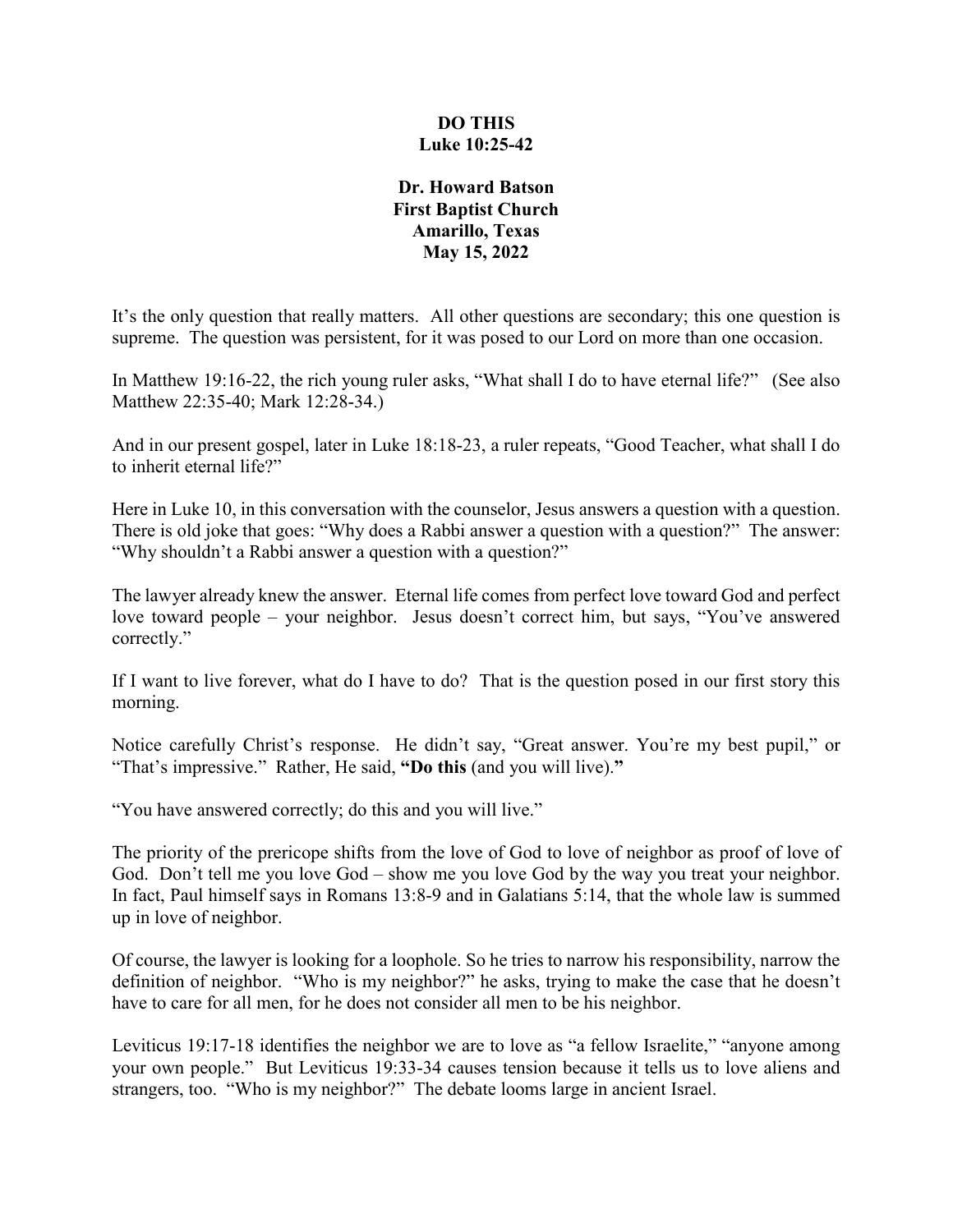## **DO THIS Luke 10:25-42**

## **Dr. Howard Batson First Baptist Church Amarillo, Texas May 15, 2022**

It's the only question that really matters. All other questions are secondary; this one question is supreme. The question was persistent, for it was posed to our Lord on more than one occasion.

In Matthew 19:16-22, the rich young ruler asks, "What shall I do to have eternal life?" (See also Matthew 22:35-40; Mark 12:28-34.)

And in our present gospel, later in Luke 18:18-23, a ruler repeats, "Good Teacher, what shall I do to inherit eternal life?"

Here in Luke 10, in this conversation with the counselor, Jesus answers a question with a question. There is old joke that goes: "Why does a Rabbi answer a question with a question?" The answer: "Why shouldn't a Rabbi answer a question with a question?"

The lawyer already knew the answer. Eternal life comes from perfect love toward God and perfect love toward people – your neighbor. Jesus doesn't correct him, but says, "You've answered correctly."

If I want to live forever, what do I have to do? That is the question posed in our first story this morning.

Notice carefully Christ's response. He didn't say, "Great answer. You're my best pupil," or "That's impressive." Rather, He said, **"Do this** (and you will live).**"** 

"You have answered correctly; do this and you will live."

The priority of the prericope shifts from the love of God to love of neighbor as proof of love of God. Don't tell me you love God – show me you love God by the way you treat your neighbor. In fact, Paul himself says in Romans 13:8-9 and in Galatians 5:14, that the whole law is summed up in love of neighbor.

Of course, the lawyer is looking for a loophole. So he tries to narrow his responsibility, narrow the definition of neighbor. "Who is my neighbor?" he asks, trying to make the case that he doesn't have to care for all men, for he does not consider all men to be his neighbor.

Leviticus 19:17-18 identifies the neighbor we are to love as "a fellow Israelite," "anyone among your own people." But Leviticus 19:33-34 causes tension because it tells us to love aliens and strangers, too. "Who is my neighbor?" The debate looms large in ancient Israel.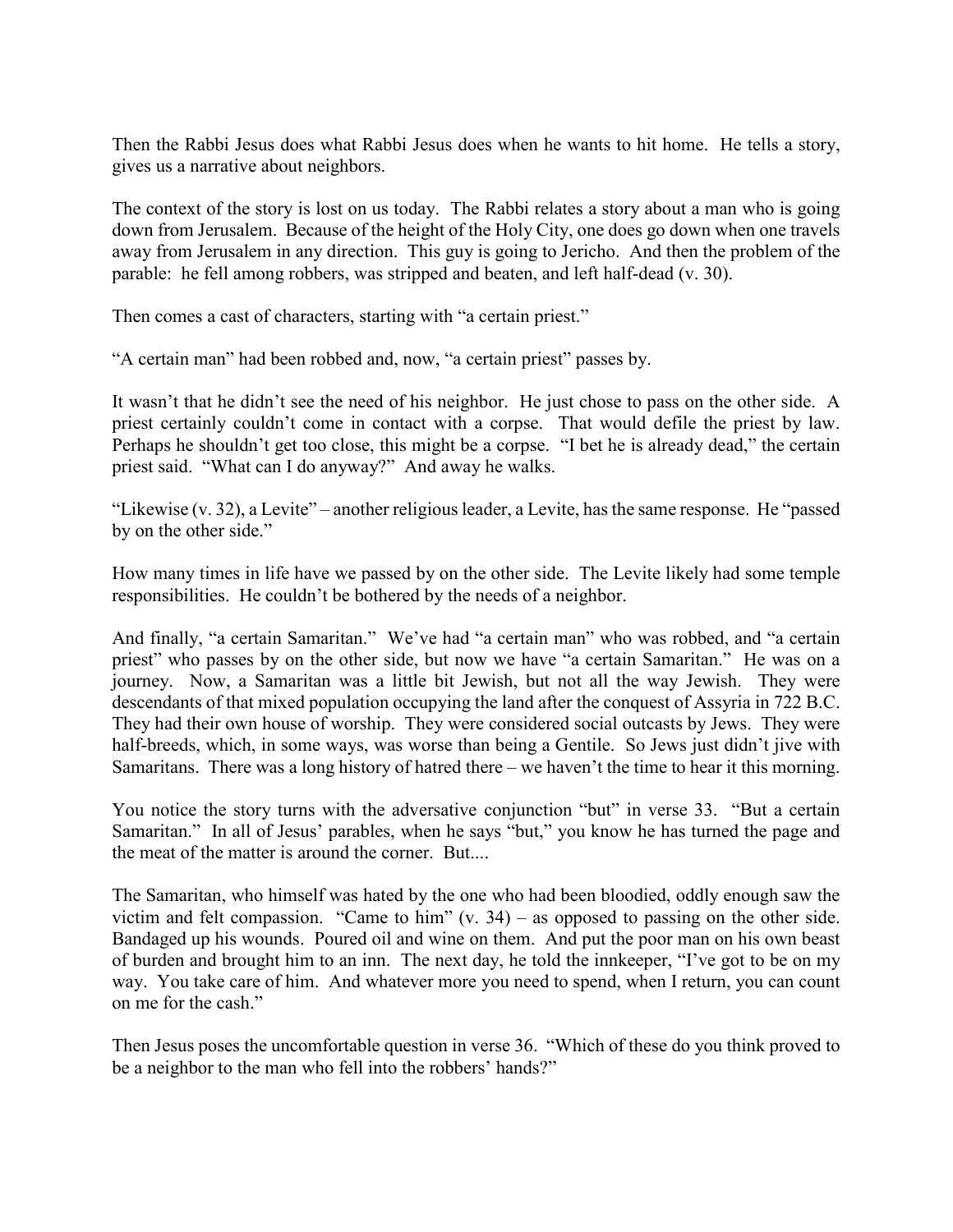Then the Rabbi Jesus does what Rabbi Jesus does when he wants to hit home. He tells a story, gives us a narrative about neighbors.

The context of the story is lost on us today. The Rabbi relates a story about a man who is going down from Jerusalem. Because of the height of the Holy City, one does go down when one travels away from Jerusalem in any direction. This guy is going to Jericho. And then the problem of the parable: he fell among robbers, was stripped and beaten, and left half-dead (v. 30).

Then comes a cast of characters, starting with "a certain priest."

"A certain man" had been robbed and, now, "a certain priest" passes by.

It wasn't that he didn't see the need of his neighbor. He just chose to pass on the other side. A priest certainly couldn't come in contact with a corpse. That would defile the priest by law. Perhaps he shouldn't get too close, this might be a corpse. "I bet he is already dead," the certain priest said. "What can I do anyway?" And away he walks.

"Likewise (v. 32), a Levite" – another religious leader, a Levite, has the same response. He "passed by on the other side."

How many times in life have we passed by on the other side. The Levite likely had some temple responsibilities. He couldn't be bothered by the needs of a neighbor.

And finally, "a certain Samaritan." We've had "a certain man" who was robbed, and "a certain priest" who passes by on the other side, but now we have "a certain Samaritan." He was on a journey. Now, a Samaritan was a little bit Jewish, but not all the way Jewish. They were descendants of that mixed population occupying the land after the conquest of Assyria in 722 B.C. They had their own house of worship. They were considered social outcasts by Jews. They were half-breeds, which, in some ways, was worse than being a Gentile. So Jews just didn't jive with Samaritans. There was a long history of hatred there – we haven't the time to hear it this morning.

You notice the story turns with the adversative conjunction "but" in verse 33. "But a certain Samaritan." In all of Jesus' parables, when he says "but," you know he has turned the page and the meat of the matter is around the corner. But....

The Samaritan, who himself was hated by the one who had been bloodied, oddly enough saw the victim and felt compassion. "Came to him"  $(v. 34)$  – as opposed to passing on the other side. Bandaged up his wounds. Poured oil and wine on them. And put the poor man on his own beast of burden and brought him to an inn. The next day, he told the innkeeper, "I've got to be on my way. You take care of him. And whatever more you need to spend, when I return, you can count on me for the cash."

Then Jesus poses the uncomfortable question in verse 36. "Which of these do you think proved to be a neighbor to the man who fell into the robbers' hands?"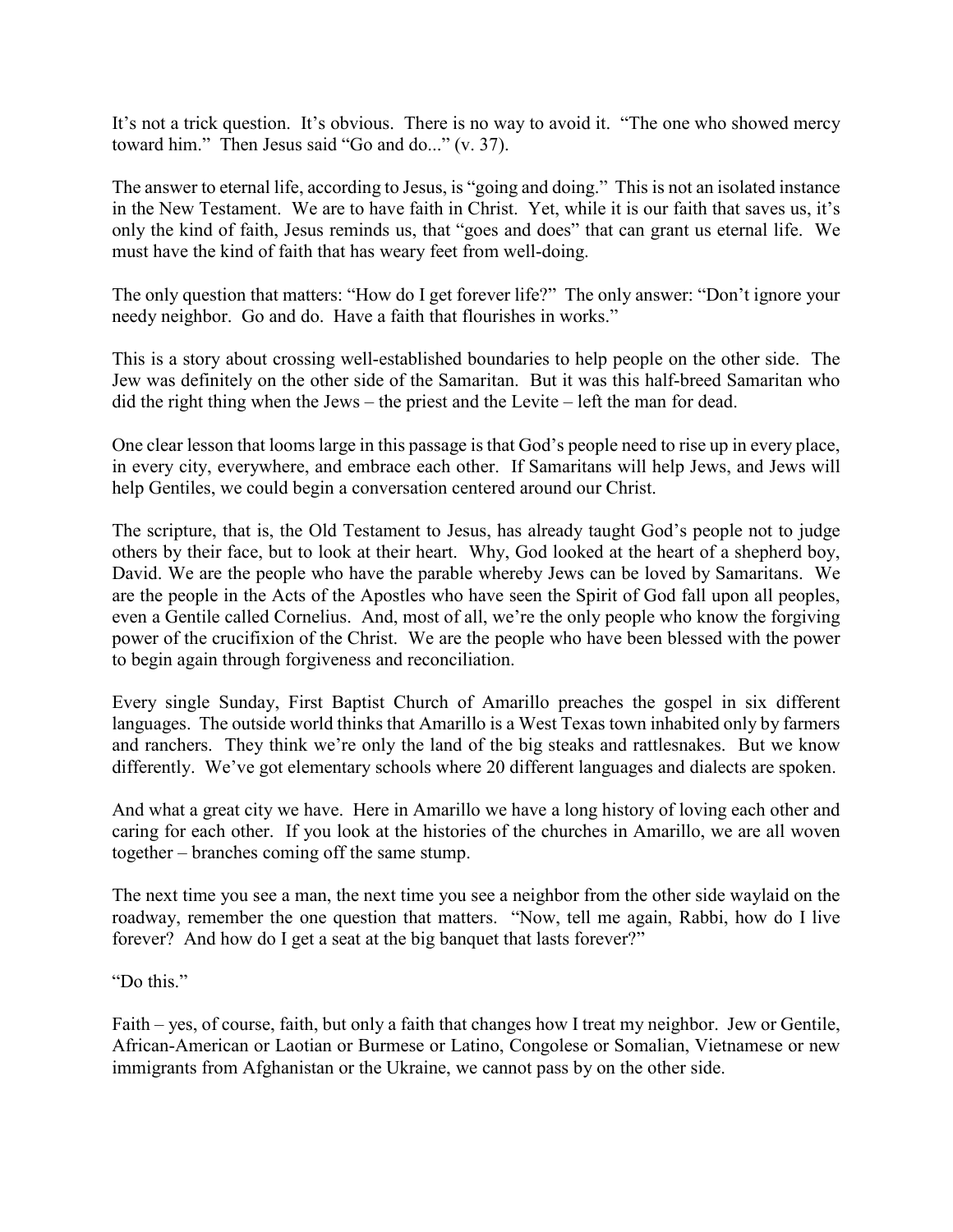It's not a trick question. It's obvious. There is no way to avoid it. "The one who showed mercy toward him." Then Jesus said "Go and do..." (v. 37).

The answer to eternal life, according to Jesus, is "going and doing." This is not an isolated instance in the New Testament. We are to have faith in Christ. Yet, while it is our faith that saves us, it's only the kind of faith, Jesus reminds us, that "goes and does" that can grant us eternal life. We must have the kind of faith that has weary feet from well-doing.

The only question that matters: "How do I get forever life?" The only answer: "Don't ignore your needy neighbor. Go and do. Have a faith that flourishes in works."

This is a story about crossing well-established boundaries to help people on the other side. The Jew was definitely on the other side of the Samaritan. But it was this half-breed Samaritan who did the right thing when the Jews – the priest and the Levite – left the man for dead.

One clear lesson that looms large in this passage is that God's people need to rise up in every place, in every city, everywhere, and embrace each other. If Samaritans will help Jews, and Jews will help Gentiles, we could begin a conversation centered around our Christ.

The scripture, that is, the Old Testament to Jesus, has already taught God's people not to judge others by their face, but to look at their heart. Why, God looked at the heart of a shepherd boy, David. We are the people who have the parable whereby Jews can be loved by Samaritans. We are the people in the Acts of the Apostles who have seen the Spirit of God fall upon all peoples, even a Gentile called Cornelius. And, most of all, we're the only people who know the forgiving power of the crucifixion of the Christ. We are the people who have been blessed with the power to begin again through forgiveness and reconciliation.

Every single Sunday, First Baptist Church of Amarillo preaches the gospel in six different languages. The outside world thinks that Amarillo is a West Texas town inhabited only by farmers and ranchers. They think we're only the land of the big steaks and rattlesnakes. But we know differently. We've got elementary schools where 20 different languages and dialects are spoken.

And what a great city we have. Here in Amarillo we have a long history of loving each other and caring for each other. If you look at the histories of the churches in Amarillo, we are all woven together – branches coming off the same stump.

The next time you see a man, the next time you see a neighbor from the other side waylaid on the roadway, remember the one question that matters. "Now, tell me again, Rabbi, how do I live forever? And how do I get a seat at the big banquet that lasts forever?"

"Do this."

Faith – yes, of course, faith, but only a faith that changes how I treat my neighbor. Jew or Gentile, African-American or Laotian or Burmese or Latino, Congolese or Somalian, Vietnamese or new immigrants from Afghanistan or the Ukraine, we cannot pass by on the other side.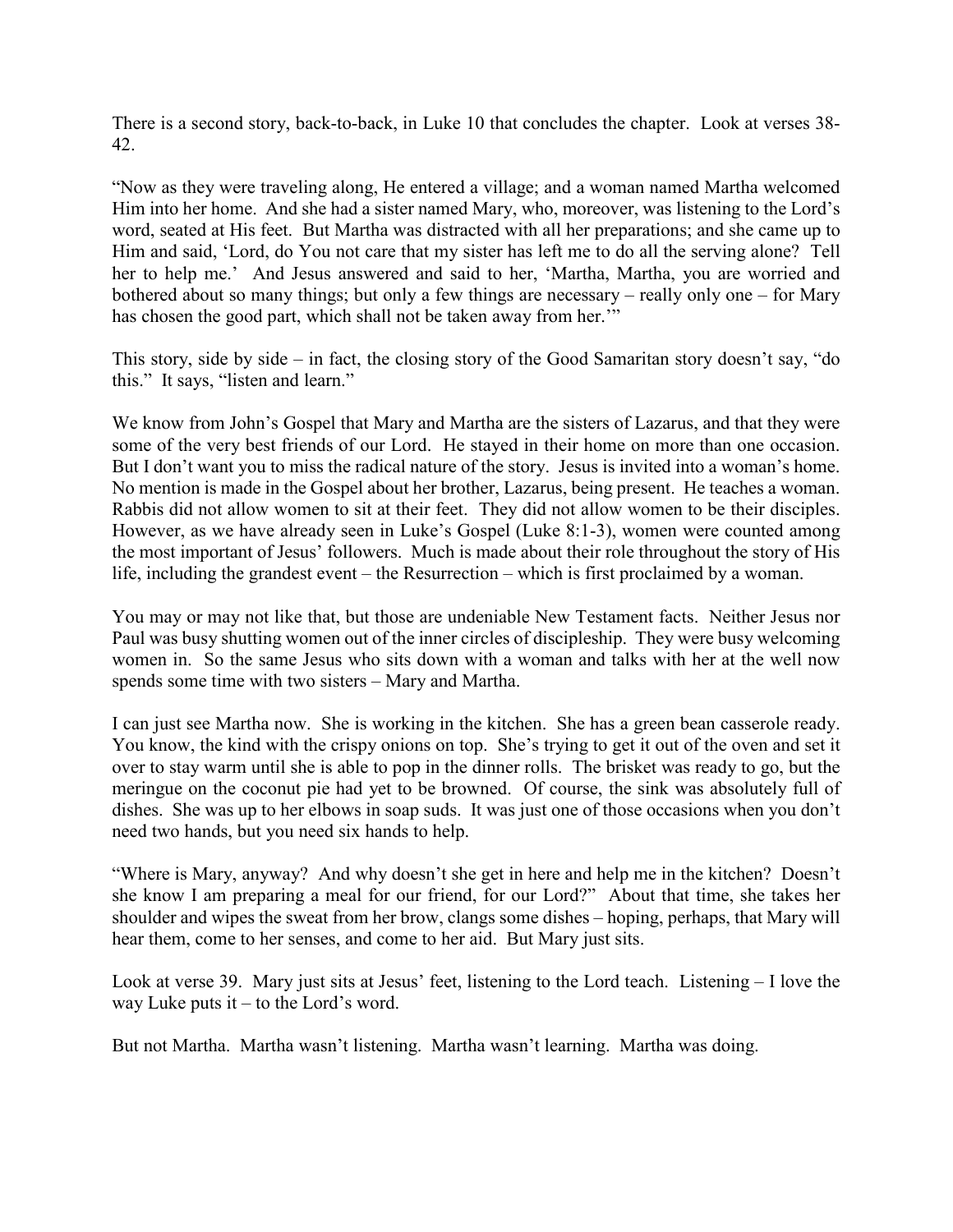There is a second story, back-to-back, in Luke 10 that concludes the chapter. Look at verses 38- 42.

"Now as they were traveling along, He entered a village; and a woman named Martha welcomed Him into her home. And she had a sister named Mary, who, moreover, was listening to the Lord's word, seated at His feet. But Martha was distracted with all her preparations; and she came up to Him and said, 'Lord, do You not care that my sister has left me to do all the serving alone? Tell her to help me.' And Jesus answered and said to her, 'Martha, Martha, you are worried and bothered about so many things; but only a few things are necessary – really only one – for Mary has chosen the good part, which shall not be taken away from her.'"

This story, side by side – in fact, the closing story of the Good Samaritan story doesn't say, "do this." It says, "listen and learn."

We know from John's Gospel that Mary and Martha are the sisters of Lazarus, and that they were some of the very best friends of our Lord. He stayed in their home on more than one occasion. But I don't want you to miss the radical nature of the story. Jesus is invited into a woman's home. No mention is made in the Gospel about her brother, Lazarus, being present. He teaches a woman. Rabbis did not allow women to sit at their feet. They did not allow women to be their disciples. However, as we have already seen in Luke's Gospel (Luke 8:1-3), women were counted among the most important of Jesus' followers. Much is made about their role throughout the story of His life, including the grandest event – the Resurrection – which is first proclaimed by a woman.

You may or may not like that, but those are undeniable New Testament facts. Neither Jesus nor Paul was busy shutting women out of the inner circles of discipleship. They were busy welcoming women in. So the same Jesus who sits down with a woman and talks with her at the well now spends some time with two sisters – Mary and Martha.

I can just see Martha now. She is working in the kitchen. She has a green bean casserole ready. You know, the kind with the crispy onions on top. She's trying to get it out of the oven and set it over to stay warm until she is able to pop in the dinner rolls. The brisket was ready to go, but the meringue on the coconut pie had yet to be browned. Of course, the sink was absolutely full of dishes. She was up to her elbows in soap suds. It was just one of those occasions when you don't need two hands, but you need six hands to help.

"Where is Mary, anyway? And why doesn't she get in here and help me in the kitchen? Doesn't she know I am preparing a meal for our friend, for our Lord?" About that time, she takes her shoulder and wipes the sweat from her brow, clangs some dishes – hoping, perhaps, that Mary will hear them, come to her senses, and come to her aid. But Mary just sits.

Look at verse 39. Mary just sits at Jesus' feet, listening to the Lord teach. Listening – I love the way Luke puts it – to the Lord's word.

But not Martha. Martha wasn't listening. Martha wasn't learning. Martha was doing.